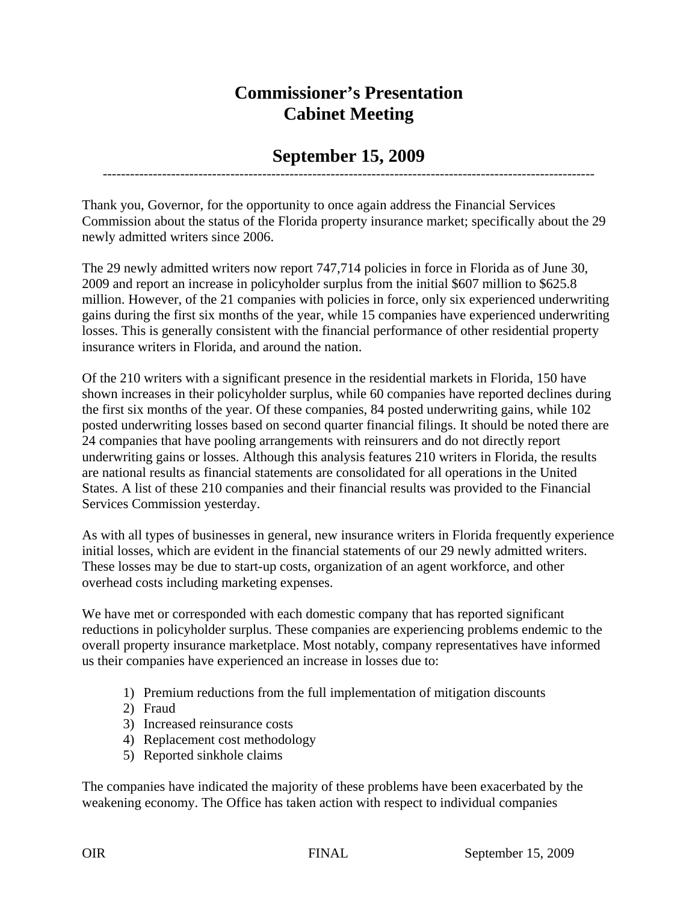## **Commissioner's Presentation Cabinet Meeting**

## **September 15, 2009** ------------------------------------------------------------------------------------------------------------

Thank you, Governor, for the opportunity to once again address the Financial Services Commission about the status of the Florida property insurance market; specifically about the 29 newly admitted writers since 2006.

The 29 newly admitted writers now report 747,714 policies in force in Florida as of June 30, 2009 and report an increase in policyholder surplus from the initial \$607 million to \$625.8 million. However, of the 21 companies with policies in force, only six experienced underwriting gains during the first six months of the year, while 15 companies have experienced underwriting losses. This is generally consistent with the financial performance of other residential property insurance writers in Florida, and around the nation.

Of the 210 writers with a significant presence in the residential markets in Florida, 150 have shown increases in their policyholder surplus, while 60 companies have reported declines during the first six months of the year. Of these companies, 84 posted underwriting gains, while 102 posted underwriting losses based on second quarter financial filings. It should be noted there are 24 companies that have pooling arrangements with reinsurers and do not directly report underwriting gains or losses. Although this analysis features 210 writers in Florida, the results are national results as financial statements are consolidated for all operations in the United States. A list of these 210 companies and their financial results was provided to the Financial Services Commission yesterday.

As with all types of businesses in general, new insurance writers in Florida frequently experience initial losses, which are evident in the financial statements of our 29 newly admitted writers. These losses may be due to start-up costs, organization of an agent workforce, and other overhead costs including marketing expenses.

We have met or corresponded with each domestic company that has reported significant reductions in policyholder surplus. These companies are experiencing problems endemic to the overall property insurance marketplace. Most notably, company representatives have informed us their companies have experienced an increase in losses due to:

- 1) Premium reductions from the full implementation of mitigation discounts
- 2) Fraud
- 3) Increased reinsurance costs
- 4) Replacement cost methodology
- 5) Reported sinkhole claims

The companies have indicated the majority of these problems have been exacerbated by the weakening economy. The Office has taken action with respect to individual companies